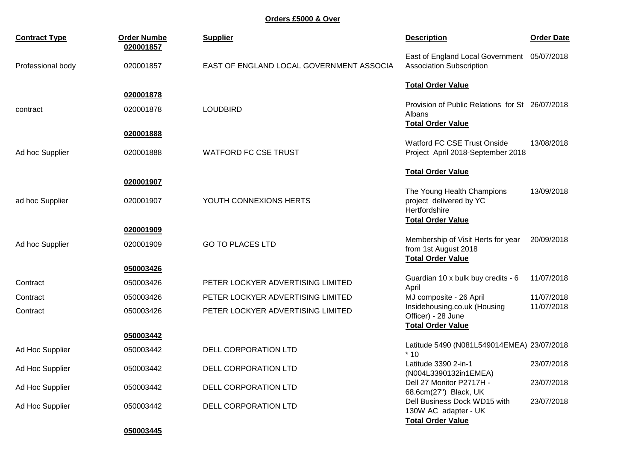**Orders £5000 & Over**

| <b>Contract Type</b> | <b>Order Numbe</b><br>020001857 | <b>Supplier</b>                          | <b>Description</b>                                                                     | <b>Order Date</b> |
|----------------------|---------------------------------|------------------------------------------|----------------------------------------------------------------------------------------|-------------------|
| Professional body    | 020001857                       | EAST OF ENGLAND LOCAL GOVERNMENT ASSOCIA | East of England Local Government 05/07/2018<br><b>Association Subscription</b>         |                   |
|                      |                                 |                                          | <b>Total Order Value</b>                                                               |                   |
|                      | 020001878                       |                                          | Provision of Public Relations for St 26/07/2018                                        |                   |
| contract             | 020001878                       | <b>LOUDBIRD</b>                          | Albans<br><b>Total Order Value</b>                                                     |                   |
|                      | 020001888                       |                                          |                                                                                        |                   |
| Ad hoc Supplier      | 020001888                       | <b>WATFORD FC CSE TRUST</b>              | <b>Watford FC CSE Trust Onside</b><br>Project April 2018-September 2018                | 13/08/2018        |
|                      |                                 |                                          | <b>Total Order Value</b>                                                               |                   |
|                      | 020001907                       |                                          | The Young Health Champions                                                             | 13/09/2018        |
| ad hoc Supplier      | 020001907                       | YOUTH CONNEXIONS HERTS                   | project delivered by YC<br>Hertfordshire<br><b>Total Order Value</b>                   |                   |
|                      | 020001909                       |                                          |                                                                                        |                   |
| Ad hoc Supplier      | 020001909                       | <b>GO TO PLACES LTD</b>                  | Membership of Visit Herts for year<br>from 1st August 2018<br><b>Total Order Value</b> | 20/09/2018        |
|                      | 050003426                       |                                          |                                                                                        |                   |
| Contract             | 050003426                       | PETER LOCKYER ADVERTISING LIMITED        | Guardian 10 x bulk buy credits - 6<br>April                                            | 11/07/2018        |
| Contract             | 050003426                       | PETER LOCKYER ADVERTISING LIMITED        | MJ composite - 26 April                                                                | 11/07/2018        |
| Contract             | 050003426                       | PETER LOCKYER ADVERTISING LIMITED        | Insidehousing.co.uk (Housing<br>Officer) - 28 June<br><b>Total Order Value</b>         | 11/07/2018        |
|                      | 050003442                       |                                          |                                                                                        |                   |
| Ad Hoc Supplier      | 050003442                       | <b>DELL CORPORATION LTD</b>              | Latitude 5490 (N081L549014EMEA) 23/07/2018<br>$*10$                                    |                   |
| Ad Hoc Supplier      | 050003442                       | <b>DELL CORPORATION LTD</b>              | Latitude 3390 2-in-1<br>(N004L3390132in1EMEA)                                          | 23/07/2018        |
| Ad Hoc Supplier      | 050003442                       | DELL CORPORATION LTD                     | Dell 27 Monitor P2717H -<br>68.6cm(27") Black, UK                                      | 23/07/2018        |
| Ad Hoc Supplier      | 050003442                       | <b>DELL CORPORATION LTD</b>              | Dell Business Dock WD15 with<br>130W AC adapter - UK<br><b>Total Order Value</b>       | 23/07/2018        |

**050003445**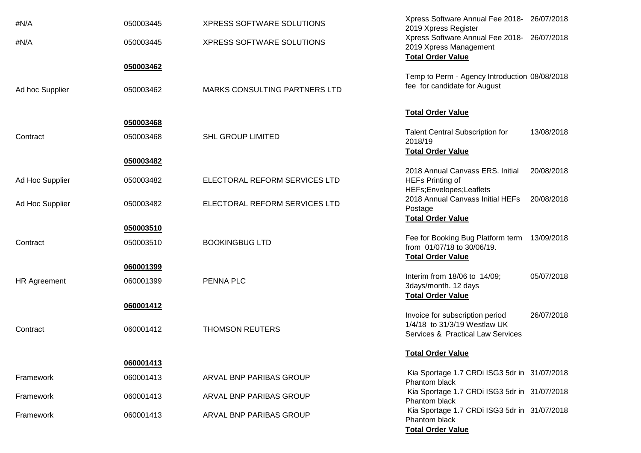| #N/A                | 050003445 | XPRESS SOFTWARE SOLUTIONS            | Xpress Software Annual Fee 2018- 26/07/2018<br>2019 Xpress Register   |
|---------------------|-----------|--------------------------------------|-----------------------------------------------------------------------|
| #N/A                | 050003445 | XPRESS SOFTWARE SOLUTIONS            | Xpress Software Annual Fee 2018- 26/07/2018<br>2019 Xpress Management |
|                     | 050003462 |                                      | <b>Total Order Value</b>                                              |
|                     |           |                                      | Temp to Perm - Agency Introduction 08/08/2018                         |
| Ad hoc Supplier     | 050003462 | <b>MARKS CONSULTING PARTNERS LTD</b> | fee for candidate for August                                          |
|                     |           |                                      | <b>Total Order Value</b>                                              |
|                     | 050003468 |                                      |                                                                       |
| Contract            | 050003468 | <b>SHL GROUP LIMITED</b>             | <b>Talent Central Subscription for</b><br>13/08/2018<br>2018/19       |
|                     |           |                                      | <b>Total Order Value</b>                                              |
|                     | 050003482 |                                      | 2018 Annual Canvass ERS. Initial<br>20/08/2018                        |
| Ad Hoc Supplier     | 050003482 | ELECTORAL REFORM SERVICES LTD        | <b>HEFs Printing of</b>                                               |
|                     |           |                                      | HEFs;Envelopes;Leaflets                                               |
| Ad Hoc Supplier     | 050003482 | ELECTORAL REFORM SERVICES LTD        | 2018 Annual Canvass Initial HEFs<br>20/08/2018                        |
|                     |           |                                      | Postage                                                               |
|                     |           |                                      | <b>Total Order Value</b>                                              |
|                     | 050003510 |                                      | Fee for Booking Bug Platform term<br>13/09/2018                       |
| Contract            | 050003510 | <b>BOOKINGBUG LTD</b>                | from 01/07/18 to 30/06/19.                                            |
|                     |           |                                      | <b>Total Order Value</b>                                              |
|                     | 060001399 |                                      |                                                                       |
| <b>HR Agreement</b> | 060001399 | PENNA PLC                            | Interim from 18/06 to 14/09;<br>05/07/2018                            |
|                     |           |                                      | 3days/month. 12 days<br><b>Total Order Value</b>                      |
|                     | 060001412 |                                      |                                                                       |
|                     |           |                                      | Invoice for subscription period<br>26/07/2018                         |
| Contract            | 060001412 | <b>THOMSON REUTERS</b>               | 1/4/18 to 31/3/19 Westlaw UK                                          |
|                     |           |                                      | Services & Practical Law Services                                     |
|                     |           |                                      | <b>Total Order Value</b>                                              |
|                     | 060001413 |                                      |                                                                       |
| Framework           | 060001413 | ARVAL BNP PARIBAS GROUP              | Kia Sportage 1.7 CRDi ISG3 5dr in 31/07/2018<br>Phantom black         |
| Framework           | 060001413 | ARVAL BNP PARIBAS GROUP              | Kia Sportage 1.7 CRDi ISG3 5dr in 31/07/2018<br>Phantom black         |
| Framework           | 060001413 | ARVAL BNP PARIBAS GROUP              | Kia Sportage 1.7 CRDi ISG3 5dr in 31/07/2018<br>Phantom black         |
|                     |           |                                      | <b>Total Order Value</b>                                              |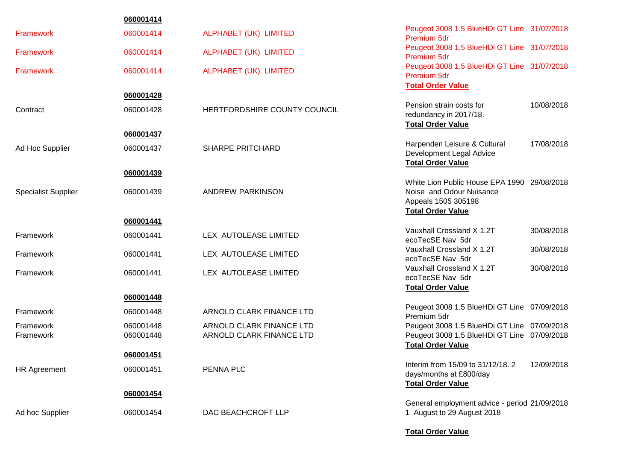|                            | 060001414 |                              |                                                                                                                            |  |
|----------------------------|-----------|------------------------------|----------------------------------------------------------------------------------------------------------------------------|--|
| Framework                  | 060001414 | ALPHABET (UK) LIMITED        | Peugeot 3008 1.5 BlueHDi GT Line 31/07/2018<br>Premium 5dr                                                                 |  |
| <b>Framework</b>           | 060001414 | ALPHABET (UK) LIMITED        | Peugeot 3008 1.5 BlueHDi GT Line 31/07/2018<br>Premium 5dr                                                                 |  |
| <b>Framework</b>           | 060001414 | ALPHABET (UK) LIMITED        | Peugeot 3008 1.5 BlueHDi GT Line 31/07/2018<br>Premium 5dr<br><b>Total Order Value</b>                                     |  |
|                            | 060001428 |                              |                                                                                                                            |  |
| Contract                   | 060001428 | HERTFORDSHIRE COUNTY COUNCIL | 10/08/2018<br>Pension strain costs for<br>redundancy in 2017/18.<br><b>Total Order Value</b>                               |  |
|                            | 060001437 |                              |                                                                                                                            |  |
| Ad Hoc Supplier            | 060001437 | <b>SHARPE PRITCHARD</b>      | Harpenden Leisure & Cultural<br>17/08/2018<br>Development Legal Advice<br><b>Total Order Value</b>                         |  |
|                            | 060001439 |                              |                                                                                                                            |  |
| <b>Specialist Supplier</b> | 060001439 | ANDREW PARKINSON             | White Lion Public House EPA 1990 29/08/2018<br>Noise and Odour Nuisance<br>Appeals 1505 305198<br><b>Total Order Value</b> |  |
|                            | 060001441 |                              |                                                                                                                            |  |
| Framework                  | 060001441 | LEX AUTOLEASE LIMITED        | Vauxhall Crossland X 1.2T<br>30/08/2018<br>ecoTecSE Nav 5dr                                                                |  |
| Framework                  | 060001441 | LEX AUTOLEASE LIMITED        | Vauxhall Crossland X 1.2T<br>30/08/2018<br>ecoTecSE Nav 5dr                                                                |  |
| Framework                  | 060001441 | LEX AUTOLEASE LIMITED        | Vauxhall Crossland X 1.2T<br>30/08/2018<br>ecoTecSE Nav 5dr                                                                |  |
|                            | 060001448 |                              | <b>Total Order Value</b>                                                                                                   |  |
| Framework                  | 060001448 | ARNOLD CLARK FINANCE LTD     | Peugeot 3008 1.5 BlueHDi GT Line 07/09/2018<br>Premium 5dr                                                                 |  |
| Framework                  | 060001448 | ARNOLD CLARK FINANCE LTD     | Peugeot 3008 1.5 BlueHDi GT Line 07/09/2018                                                                                |  |
| Framework                  | 060001448 | ARNOLD CLARK FINANCE LTD     | Peugeot 3008 1.5 BlueHDi GT Line 07/09/2018<br><b>Total Order Value</b>                                                    |  |
|                            | 060001451 |                              |                                                                                                                            |  |
| HR Agreement               | 060001451 | PENNA PLC                    | 12/09/2018<br>Interim from 15/09 to 31/12/18. 2<br>days/months at £800/day<br><b>Total Order Value</b>                     |  |
|                            | 060001454 |                              |                                                                                                                            |  |
| Ad hoc Supplier            | 060001454 | DAC BEACHCROFT LLP           | General employment advice - period 21/09/2018<br>1 August to 29 August 2018                                                |  |
|                            |           |                              | <b>Total Order Value</b>                                                                                                   |  |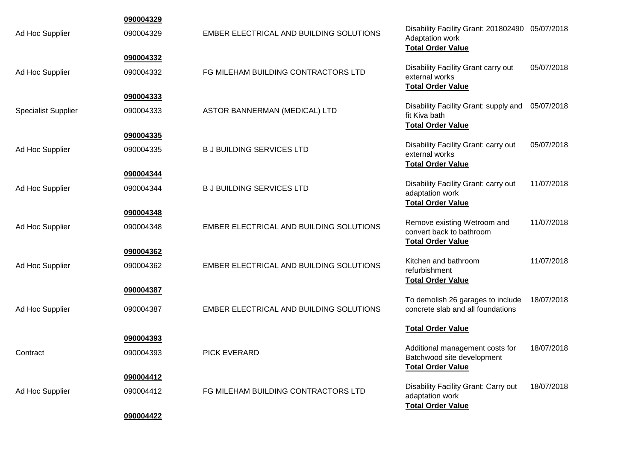|                            | 090004329 |                                         |                                                                                                |            |
|----------------------------|-----------|-----------------------------------------|------------------------------------------------------------------------------------------------|------------|
| Ad Hoc Supplier            | 090004329 | EMBER ELECTRICAL AND BUILDING SOLUTIONS | Disability Facility Grant: 201802490 05/07/2018<br>Adaptation work<br><b>Total Order Value</b> |            |
|                            | 090004332 |                                         | Disability Facility Grant carry out                                                            | 05/07/2018 |
| Ad Hoc Supplier            | 090004332 | FG MILEHAM BUILDING CONTRACTORS LTD     | external works<br><b>Total Order Value</b>                                                     |            |
|                            | 090004333 |                                         |                                                                                                |            |
| <b>Specialist Supplier</b> | 090004333 | ASTOR BANNERMAN (MEDICAL) LTD           | Disability Facility Grant: supply and<br>fit Kiva bath<br><b>Total Order Value</b>             | 05/07/2018 |
|                            | 090004335 |                                         |                                                                                                |            |
| Ad Hoc Supplier            | 090004335 | <b>B J BUILDING SERVICES LTD</b>        | Disability Facility Grant: carry out<br>external works<br><b>Total Order Value</b>             | 05/07/2018 |
|                            | 090004344 |                                         |                                                                                                | 11/07/2018 |
| Ad Hoc Supplier            | 090004344 | <b>B J BUILDING SERVICES LTD</b>        | Disability Facility Grant: carry out<br>adaptation work<br><b>Total Order Value</b>            |            |
|                            | 090004348 |                                         |                                                                                                |            |
| Ad Hoc Supplier            | 090004348 | EMBER ELECTRICAL AND BUILDING SOLUTIONS | Remove existing Wetroom and<br>convert back to bathroom<br><b>Total Order Value</b>            | 11/07/2018 |
|                            | 090004362 |                                         |                                                                                                |            |
| Ad Hoc Supplier            | 090004362 | EMBER ELECTRICAL AND BUILDING SOLUTIONS | Kitchen and bathroom<br>refurbishment<br><b>Total Order Value</b>                              | 11/07/2018 |
|                            | 090004387 |                                         |                                                                                                |            |
| Ad Hoc Supplier            | 090004387 | EMBER ELECTRICAL AND BUILDING SOLUTIONS | To demolish 26 garages to include<br>concrete slab and all foundations                         | 18/07/2018 |
|                            |           |                                         | <b>Total Order Value</b>                                                                       |            |
|                            | 090004393 |                                         | Additional management costs for                                                                | 18/07/2018 |
| Contract                   | 090004393 | <b>PICK EVERARD</b>                     | Batchwood site development<br><b>Total Order Value</b>                                         |            |
|                            | 090004412 |                                         |                                                                                                |            |
| Ad Hoc Supplier            | 090004412 | FG MILEHAM BUILDING CONTRACTORS LTD     | Disability Facility Grant: Carry out<br>adaptation work<br><b>Total Order Value</b>            | 18/07/2018 |
|                            | 090004422 |                                         |                                                                                                |            |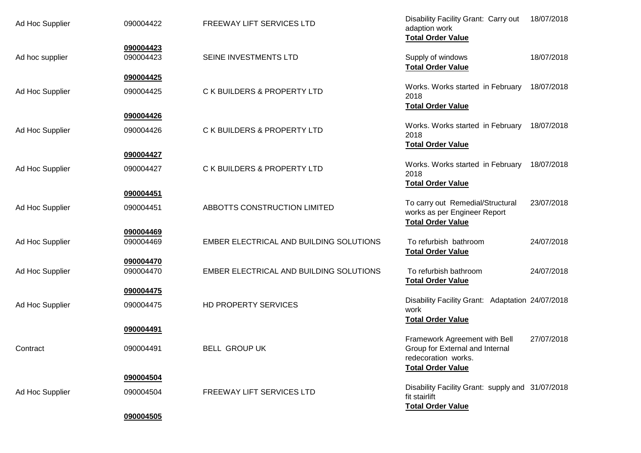| Ad Hoc Supplier | 090004422              | FREEWAY LIFT SERVICES LTD               | Disability Facility Grant: Carry out<br>adaption work<br><b>Total Order Value</b>                                   | 18/07/2018 |
|-----------------|------------------------|-----------------------------------------|---------------------------------------------------------------------------------------------------------------------|------------|
| Ad hoc supplier | 090004423<br>090004423 | SEINE INVESTMENTS LTD                   | Supply of windows<br><b>Total Order Value</b>                                                                       | 18/07/2018 |
| Ad Hoc Supplier | 090004425<br>090004425 | C K BUILDERS & PROPERTY LTD             | Works. Works started in February<br>2018                                                                            | 18/07/2018 |
|                 | 090004426              |                                         | <b>Total Order Value</b>                                                                                            |            |
| Ad Hoc Supplier | 090004426              | C K BUILDERS & PROPERTY LTD             | Works. Works started in February<br>2018<br><b>Total Order Value</b>                                                | 18/07/2018 |
|                 | 090004427              |                                         |                                                                                                                     |            |
| Ad Hoc Supplier | 090004427              | C K BUILDERS & PROPERTY LTD             | Works. Works started in February<br>2018                                                                            | 18/07/2018 |
|                 | 090004451              |                                         | <b>Total Order Value</b>                                                                                            |            |
| Ad Hoc Supplier | 090004451              | ABBOTTS CONSTRUCTION LIMITED            | To carry out Remedial/Structural<br>works as per Engineer Report<br><b>Total Order Value</b>                        | 23/07/2018 |
|                 | 090004469              |                                         |                                                                                                                     |            |
| Ad Hoc Supplier | 090004469              | EMBER ELECTRICAL AND BUILDING SOLUTIONS | To refurbish bathroom<br><b>Total Order Value</b>                                                                   | 24/07/2018 |
| Ad Hoc Supplier | 090004470<br>090004470 | EMBER ELECTRICAL AND BUILDING SOLUTIONS | To refurbish bathroom<br><b>Total Order Value</b>                                                                   | 24/07/2018 |
|                 | 090004475              |                                         | Disability Facility Grant: Adaptation 24/07/2018                                                                    |            |
| Ad Hoc Supplier | 090004475              | HD PROPERTY SERVICES                    | work<br><b>Total Order Value</b>                                                                                    |            |
|                 | 090004491              |                                         |                                                                                                                     |            |
| Contract        | 090004491              | <b>BELL GROUP UK</b>                    | Framework Agreement with Bell<br>Group for External and Internal<br>redecoration works.<br><b>Total Order Value</b> | 27/07/2018 |
|                 | 090004504              |                                         |                                                                                                                     |            |
| Ad Hoc Supplier | 090004504              | FREEWAY LIFT SERVICES LTD               | Disability Facility Grant: supply and 31/07/2018<br>fit stairlift<br><b>Total Order Value</b>                       |            |
|                 | 090004505              |                                         |                                                                                                                     |            |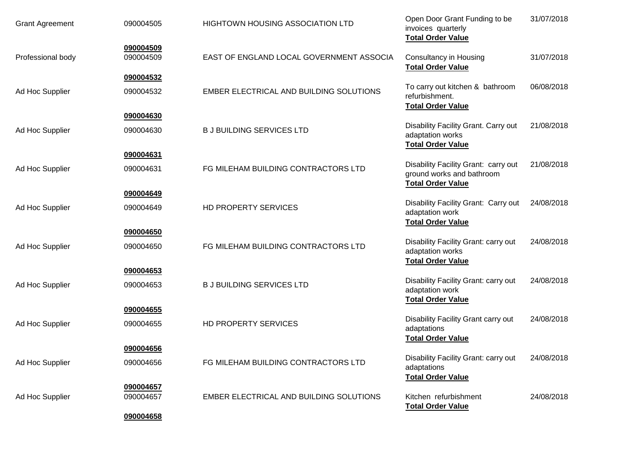| <b>Grant Agreement</b> | 090004505              | <b>HIGHTOWN HOUSING ASSOCIATION LTD</b>  | Open Door Grant Funding to be<br>invoices quarterly<br><b>Total Order Value</b>               | 31/07/2018 |
|------------------------|------------------------|------------------------------------------|-----------------------------------------------------------------------------------------------|------------|
| Professional body      | 090004509<br>090004509 | EAST OF ENGLAND LOCAL GOVERNMENT ASSOCIA | <b>Consultancy in Housing</b><br><b>Total Order Value</b>                                     | 31/07/2018 |
| Ad Hoc Supplier        | 090004532<br>090004532 | EMBER ELECTRICAL AND BUILDING SOLUTIONS  | To carry out kitchen & bathroom<br>refurbishment.<br><b>Total Order Value</b>                 | 06/08/2018 |
|                        | 090004630              |                                          |                                                                                               |            |
| Ad Hoc Supplier        | 090004630              | <b>B J BUILDING SERVICES LTD</b>         | Disability Facility Grant. Carry out<br>adaptation works<br><b>Total Order Value</b>          | 21/08/2018 |
|                        | 090004631              |                                          |                                                                                               |            |
| Ad Hoc Supplier        | 090004631              | FG MILEHAM BUILDING CONTRACTORS LTD      | Disability Facility Grant: carry out<br>ground works and bathroom<br><b>Total Order Value</b> | 21/08/2018 |
|                        | 090004649              |                                          |                                                                                               |            |
| Ad Hoc Supplier        | 090004649              | HD PROPERTY SERVICES                     | Disability Facility Grant: Carry out<br>adaptation work<br><b>Total Order Value</b>           | 24/08/2018 |
|                        | 090004650              |                                          |                                                                                               |            |
| Ad Hoc Supplier        | 090004650              | FG MILEHAM BUILDING CONTRACTORS LTD      | Disability Facility Grant: carry out<br>adaptation works<br><b>Total Order Value</b>          | 24/08/2018 |
|                        | 090004653              |                                          |                                                                                               |            |
| Ad Hoc Supplier        | 090004653              | <b>B J BUILDING SERVICES LTD</b>         | Disability Facility Grant: carry out<br>adaptation work<br><b>Total Order Value</b>           | 24/08/2018 |
|                        | 090004655              |                                          |                                                                                               |            |
| Ad Hoc Supplier        | 090004655              | HD PROPERTY SERVICES                     | Disability Facility Grant carry out<br>adaptations<br><b>Total Order Value</b>                | 24/08/2018 |
|                        | 090004656              |                                          |                                                                                               |            |
| Ad Hoc Supplier        | 090004656              | FG MILEHAM BUILDING CONTRACTORS LTD      | Disability Facility Grant: carry out<br>adaptations<br><b>Total Order Value</b>               | 24/08/2018 |
|                        | 090004657              |                                          |                                                                                               |            |
| Ad Hoc Supplier        | 090004657              | EMBER ELECTRICAL AND BUILDING SOLUTIONS  | Kitchen refurbishment<br><b>Total Order Value</b>                                             | 24/08/2018 |
|                        | 090004658              |                                          |                                                                                               |            |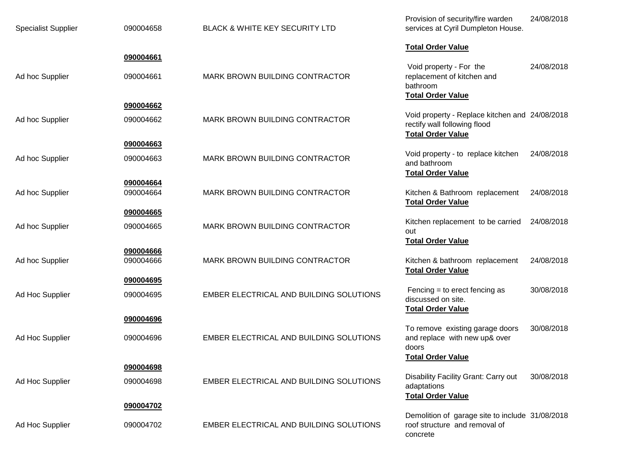| <b>Specialist Supplier</b> | 090004658              | BLACK & WHITE KEY SECURITY LTD          | Provision of security/fire warden<br>services at Cyril Dumpleton House.                                    | 24/08/2018 |
|----------------------------|------------------------|-----------------------------------------|------------------------------------------------------------------------------------------------------------|------------|
|                            | 090004661              |                                         | <b>Total Order Value</b>                                                                                   |            |
| Ad hoc Supplier            | 090004661              | MARK BROWN BUILDING CONTRACTOR          | Void property - For the<br>replacement of kitchen and<br>bathroom<br><b>Total Order Value</b>              | 24/08/2018 |
|                            | 090004662              |                                         |                                                                                                            |            |
| Ad hoc Supplier            | 090004662              | MARK BROWN BUILDING CONTRACTOR          | Void property - Replace kitchen and 24/08/2018<br>rectify wall following flood<br><b>Total Order Value</b> |            |
|                            | 090004663              |                                         | Void property - to replace kitchen                                                                         | 24/08/2018 |
| Ad hoc Supplier            | 090004663              | MARK BROWN BUILDING CONTRACTOR          | and bathroom<br><b>Total Order Value</b>                                                                   |            |
| Ad hoc Supplier            | 090004664<br>090004664 | MARK BROWN BUILDING CONTRACTOR          | Kitchen & Bathroom replacement                                                                             | 24/08/2018 |
|                            |                        |                                         | <b>Total Order Value</b>                                                                                   |            |
|                            | 090004665              |                                         | Kitchen replacement to be carried                                                                          | 24/08/2018 |
| Ad hoc Supplier            | 090004665              | MARK BROWN BUILDING CONTRACTOR          | out<br><b>Total Order Value</b>                                                                            |            |
|                            | 090004666              |                                         |                                                                                                            |            |
| Ad hoc Supplier            | 090004666              | MARK BROWN BUILDING CONTRACTOR          | Kitchen & bathroom replacement<br><b>Total Order Value</b>                                                 | 24/08/2018 |
|                            | 090004695              |                                         |                                                                                                            |            |
| Ad Hoc Supplier            | 090004695              | EMBER ELECTRICAL AND BUILDING SOLUTIONS | Fencing $=$ to erect fencing as<br>discussed on site.<br><b>Total Order Value</b>                          | 30/08/2018 |
|                            | 090004696              |                                         |                                                                                                            |            |
| Ad Hoc Supplier            | 090004696              | EMBER ELECTRICAL AND BUILDING SOLUTIONS | To remove existing garage doors<br>and replace with new up& over<br>doors                                  | 30/08/2018 |
|                            | 090004698              |                                         | <b>Total Order Value</b>                                                                                   |            |
| Ad Hoc Supplier            | 090004698              | EMBER ELECTRICAL AND BUILDING SOLUTIONS | Disability Facility Grant: Carry out<br>adaptations                                                        | 30/08/2018 |
|                            | 090004702              |                                         | <b>Total Order Value</b>                                                                                   |            |
|                            |                        |                                         | Demolition of garage site to include 31/08/2018                                                            |            |
| Ad Hoc Supplier            | 090004702              | EMBER ELECTRICAL AND BUILDING SOLUTIONS | roof structure and removal of<br>concrete                                                                  |            |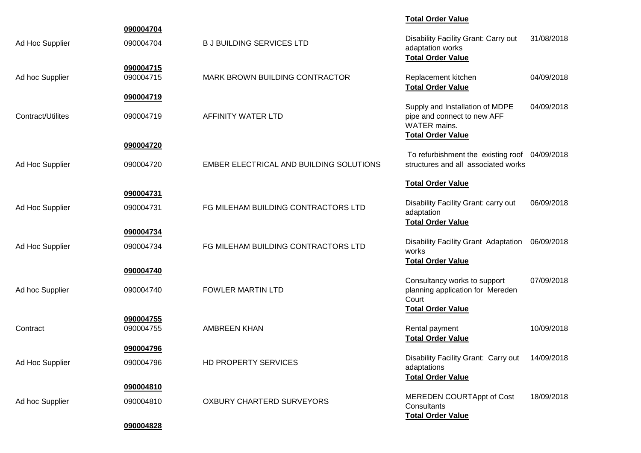|                   |                        |                                         | <b>Total Order Value</b>                                                                                          |            |
|-------------------|------------------------|-----------------------------------------|-------------------------------------------------------------------------------------------------------------------|------------|
| Ad Hoc Supplier   | 090004704<br>090004704 | <b>B J BUILDING SERVICES LTD</b>        | Disability Facility Grant: Carry out<br>adaptation works<br><b>Total Order Value</b>                              | 31/08/2018 |
| Ad hoc Supplier   | 090004715<br>090004715 | MARK BROWN BUILDING CONTRACTOR          | Replacement kitchen<br><b>Total Order Value</b>                                                                   | 04/09/2018 |
|                   | 090004719              |                                         |                                                                                                                   |            |
| Contract/Utilites | 090004719              | AFFINITY WATER LTD                      | Supply and Installation of MDPE<br>pipe and connect to new AFF<br><b>WATER</b> mains.<br><b>Total Order Value</b> | 04/09/2018 |
|                   | 090004720              |                                         |                                                                                                                   |            |
| Ad Hoc Supplier   | 090004720              | EMBER ELECTRICAL AND BUILDING SOLUTIONS | To refurbishment the existing roof 04/09/2018<br>structures and all associated works                              |            |
|                   |                        |                                         | <b>Total Order Value</b>                                                                                          |            |
|                   | 090004731              |                                         |                                                                                                                   |            |
| Ad Hoc Supplier   | 090004731              | FG MILEHAM BUILDING CONTRACTORS LTD     | Disability Facility Grant: carry out<br>adaptation<br><b>Total Order Value</b>                                    | 06/09/2018 |
|                   | 090004734              |                                         |                                                                                                                   |            |
| Ad Hoc Supplier   | 090004734              | FG MILEHAM BUILDING CONTRACTORS LTD     | Disability Facility Grant Adaptation<br>works                                                                     | 06/09/2018 |
|                   | 090004740              |                                         | <b>Total Order Value</b>                                                                                          |            |
| Ad hoc Supplier   | 090004740              | <b>FOWLER MARTIN LTD</b>                | Consultancy works to support<br>planning application for Mereden<br>Court<br><b>Total Order Value</b>             | 07/09/2018 |
|                   | 090004755              |                                         |                                                                                                                   |            |
| Contract          | 090004755              | <b>AMBREEN KHAN</b>                     | Rental payment<br><b>Total Order Value</b>                                                                        | 10/09/2018 |
|                   | 090004796              |                                         | Disability Facility Grant: Carry out                                                                              | 14/09/2018 |
| Ad Hoc Supplier   | 090004796              | HD PROPERTY SERVICES                    | adaptations<br><b>Total Order Value</b>                                                                           |            |
|                   | 090004810              |                                         |                                                                                                                   |            |
| Ad hoc Supplier   | 090004810              | <b>OXBURY CHARTERD SURVEYORS</b>        | <b>MEREDEN COURTAppt of Cost</b><br>Consultants<br><b>Total Order Value</b>                                       | 18/09/2018 |
|                   | 090004828              |                                         |                                                                                                                   |            |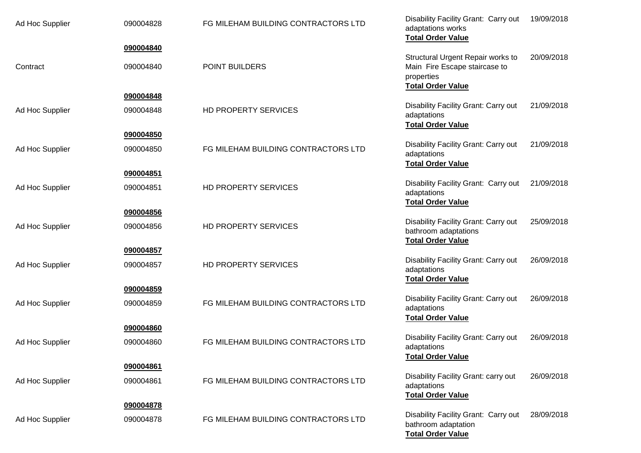| Ad Hoc Supplier | 090004828 | FG MILEHAM BUILDING CONTRACTORS LTD | Disability Facility Grant: Carry out<br>adaptations works<br><b>Total Order Value</b>                        | 19/09/2018 |
|-----------------|-----------|-------------------------------------|--------------------------------------------------------------------------------------------------------------|------------|
|                 | 090004840 |                                     |                                                                                                              |            |
| Contract        | 090004840 | POINT BUILDERS                      | Structural Urgent Repair works to<br>Main Fire Escape staircase to<br>properties<br><b>Total Order Value</b> | 20/09/2018 |
|                 | 090004848 |                                     |                                                                                                              |            |
| Ad Hoc Supplier | 090004848 | HD PROPERTY SERVICES                | Disability Facility Grant: Carry out<br>adaptations<br><b>Total Order Value</b>                              | 21/09/2018 |
|                 | 090004850 |                                     |                                                                                                              |            |
| Ad Hoc Supplier | 090004850 | FG MILEHAM BUILDING CONTRACTORS LTD | Disability Facility Grant: Carry out<br>adaptations<br><b>Total Order Value</b>                              | 21/09/2018 |
|                 | 090004851 |                                     |                                                                                                              |            |
| Ad Hoc Supplier | 090004851 | HD PROPERTY SERVICES                | Disability Facility Grant: Carry out<br>adaptations<br><b>Total Order Value</b>                              | 21/09/2018 |
|                 | 090004856 |                                     |                                                                                                              |            |
| Ad Hoc Supplier | 090004856 | HD PROPERTY SERVICES                | Disability Facility Grant: Carry out<br>bathroom adaptations<br><b>Total Order Value</b>                     | 25/09/2018 |
|                 | 090004857 |                                     |                                                                                                              |            |
| Ad Hoc Supplier | 090004857 | HD PROPERTY SERVICES                | Disability Facility Grant: Carry out<br>adaptations<br><b>Total Order Value</b>                              | 26/09/2018 |
|                 | 090004859 |                                     |                                                                                                              |            |
| Ad Hoc Supplier | 090004859 | FG MILEHAM BUILDING CONTRACTORS LTD | Disability Facility Grant: Carry out<br>adaptations<br><b>Total Order Value</b>                              | 26/09/2018 |
|                 | 090004860 |                                     |                                                                                                              |            |
| Ad Hoc Supplier | 090004860 | FG MILEHAM BUILDING CONTRACTORS LTD | Disability Facility Grant: Carry out<br>adaptations<br><b>Total Order Value</b>                              | 26/09/2018 |
|                 | 090004861 |                                     |                                                                                                              |            |
| Ad Hoc Supplier | 090004861 | FG MILEHAM BUILDING CONTRACTORS LTD | Disability Facility Grant: carry out<br>adaptations<br><b>Total Order Value</b>                              | 26/09/2018 |
|                 | 090004878 |                                     |                                                                                                              |            |
| Ad Hoc Supplier | 090004878 | FG MILEHAM BUILDING CONTRACTORS LTD | Disability Facility Grant: Carry out<br>bathroom adaptation<br><b>Total Order Value</b>                      | 28/09/2018 |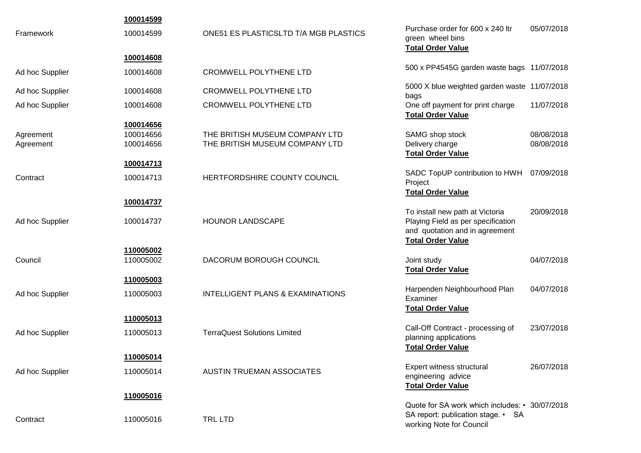|                 | 100014599 |                                              |                                                                                                         |            |
|-----------------|-----------|----------------------------------------------|---------------------------------------------------------------------------------------------------------|------------|
| Framework       | 100014599 | <b>ONE51 ES PLASTICSLTD T/A MGB PLASTICS</b> | Purchase order for 600 x 240 ltr<br>green wheel bins<br><b>Total Order Value</b>                        | 05/07/2018 |
|                 | 100014608 |                                              |                                                                                                         |            |
| Ad hoc Supplier | 100014608 | <b>CROMWELL POLYTHENE LTD</b>                | 500 x PP4545G garden waste bags 11/07/2018                                                              |            |
| Ad hoc Supplier | 100014608 | <b>CROMWELL POLYTHENE LTD</b>                | 5000 X blue weighted garden waste 11/07/2018<br>bags                                                    |            |
| Ad hoc Supplier | 100014608 | <b>CROMWELL POLYTHENE LTD</b>                | One off payment for print charge<br><b>Total Order Value</b>                                            | 11/07/2018 |
|                 | 100014656 |                                              |                                                                                                         |            |
| Agreement       | 100014656 | THE BRITISH MUSEUM COMPANY LTD               | SAMG shop stock                                                                                         | 08/08/2018 |
| Agreement       | 100014656 | THE BRITISH MUSEUM COMPANY LTD               | Delivery charge<br><b>Total Order Value</b>                                                             | 08/08/2018 |
|                 | 100014713 |                                              |                                                                                                         |            |
| Contract        | 100014713 | HERTFORDSHIRE COUNTY COUNCIL                 | SADC TopUP contribution to HWH<br>Project                                                               | 07/09/2018 |
|                 |           |                                              | <b>Total Order Value</b>                                                                                |            |
|                 | 100014737 |                                              |                                                                                                         |            |
| Ad hoc Supplier | 100014737 | <b>HOUNOR LANDSCAPE</b>                      | To install new path at Victoria<br>Playing Field as per specification<br>and quotation and in agreement | 20/09/2018 |
|                 |           |                                              | <b>Total Order Value</b>                                                                                |            |
|                 | 110005002 |                                              |                                                                                                         |            |
| Council         | 110005002 | DACORUM BOROUGH COUNCIL                      | Joint study                                                                                             | 04/07/2018 |
|                 |           |                                              | <b>Total Order Value</b>                                                                                |            |
|                 | 110005003 |                                              |                                                                                                         |            |
| Ad hoc Supplier | 110005003 | <b>INTELLIGENT PLANS &amp; EXAMINATIONS</b>  | Harpenden Neighbourhood Plan                                                                            | 04/07/2018 |
|                 |           |                                              | Examiner<br><b>Total Order Value</b>                                                                    |            |
|                 | 110005013 |                                              |                                                                                                         |            |
|                 |           |                                              | Call-Off Contract - processing of                                                                       | 23/07/2018 |
| Ad hoc Supplier | 110005013 | <b>TerraQuest Solutions Limited</b>          | planning applications                                                                                   |            |
|                 |           |                                              | <b>Total Order Value</b>                                                                                |            |
|                 | 110005014 |                                              |                                                                                                         |            |
| Ad hoc Supplier | 110005014 | <b>AUSTIN TRUEMAN ASSOCIATES</b>             | Expert witness structural<br>engineering advice                                                         | 26/07/2018 |
|                 |           |                                              | <b>Total Order Value</b>                                                                                |            |
|                 | 110005016 |                                              |                                                                                                         |            |
|                 |           |                                              | Quote for SA work which includes: • 30/07/2018<br>SA report: publication stage. • SA                    |            |
| Contract        | 110005016 | <b>TRL LTD</b>                               | working Note for Council                                                                                |            |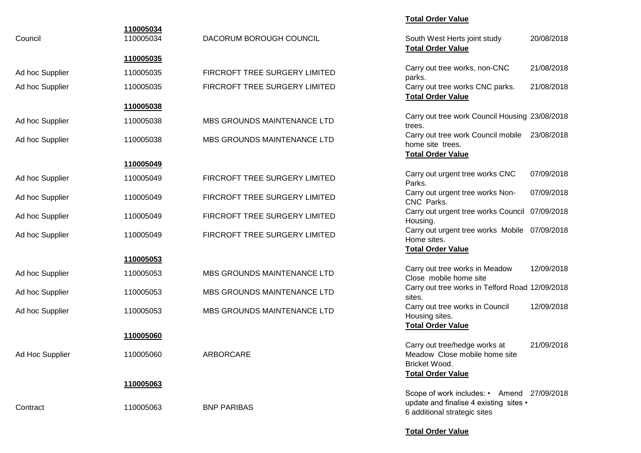| Council         | 110005034<br>110005034 | DACORUM BOROUGH COUNCIL       | 20/08/2018<br>South West Herts joint study<br><b>Total Order Value</b>                                               |  |
|-----------------|------------------------|-------------------------------|----------------------------------------------------------------------------------------------------------------------|--|
|                 | 110005035              |                               |                                                                                                                      |  |
| Ad hoc Supplier | 110005035              | FIRCROFT TREE SURGERY LIMITED | 21/08/2018<br>Carry out tree works, non-CNC<br>parks.                                                                |  |
| Ad hoc Supplier | 110005035              | FIRCROFT TREE SURGERY LIMITED | Carry out tree works CNC parks.<br>21/08/2018<br><b>Total Order Value</b>                                            |  |
|                 | 110005038              |                               |                                                                                                                      |  |
| Ad hoc Supplier | 110005038              | MBS GROUNDS MAINTENANCE LTD   | Carry out tree work Council Housing 23/08/2018<br>trees.                                                             |  |
| Ad hoc Supplier | 110005038              | MBS GROUNDS MAINTENANCE LTD   | Carry out tree work Council mobile<br>23/08/2018<br>home site trees.<br><b>Total Order Value</b>                     |  |
|                 | 110005049              |                               |                                                                                                                      |  |
| Ad hoc Supplier | 110005049              | FIRCROFT TREE SURGERY LIMITED | Carry out urgent tree works CNC<br>07/09/2018<br>Parks.                                                              |  |
| Ad hoc Supplier | 110005049              | FIRCROFT TREE SURGERY LIMITED | Carry out urgent tree works Non-<br>07/09/2018<br>CNC Parks.                                                         |  |
| Ad hoc Supplier | 110005049              | FIRCROFT TREE SURGERY LIMITED | Carry out urgent tree works Council 07/09/2018<br>Housing.                                                           |  |
| Ad hoc Supplier | 110005049              | FIRCROFT TREE SURGERY LIMITED | Carry out urgent tree works Mobile 07/09/2018<br>Home sites.                                                         |  |
|                 |                        |                               | <b>Total Order Value</b>                                                                                             |  |
|                 | 110005053              |                               |                                                                                                                      |  |
| Ad hoc Supplier | 110005053              | MBS GROUNDS MAINTENANCE LTD   | Carry out tree works in Meadow<br>12/09/2018<br>Close mobile home site                                               |  |
| Ad hoc Supplier | 110005053              | MBS GROUNDS MAINTENANCE LTD   | Carry out tree works in Telford Road 12/09/2018<br>sites.                                                            |  |
| Ad hoc Supplier | 110005053              | MBS GROUNDS MAINTENANCE LTD   | 12/09/2018<br>Carry out tree works in Council<br>Housing sites.                                                      |  |
|                 | 110005060              |                               | <b>Total Order Value</b>                                                                                             |  |
|                 |                        |                               | Carry out tree/hedge works at<br>21/09/2018                                                                          |  |
| Ad Hoc Supplier | 110005060              | ARBORCARE                     | Meadow Close mobile home site<br>Bricket Wood.                                                                       |  |
|                 |                        |                               | <b>Total Order Value</b>                                                                                             |  |
|                 | 110005063              |                               |                                                                                                                      |  |
| Contract        | 110005063              | <b>BNP PARIBAS</b>            | Scope of work includes: • Amend 27/09/2018<br>update and finalise 4 existing sites •<br>6 additional strategic sites |  |
|                 |                        |                               | <b>Total Order Value</b>                                                                                             |  |

**Total Order Value**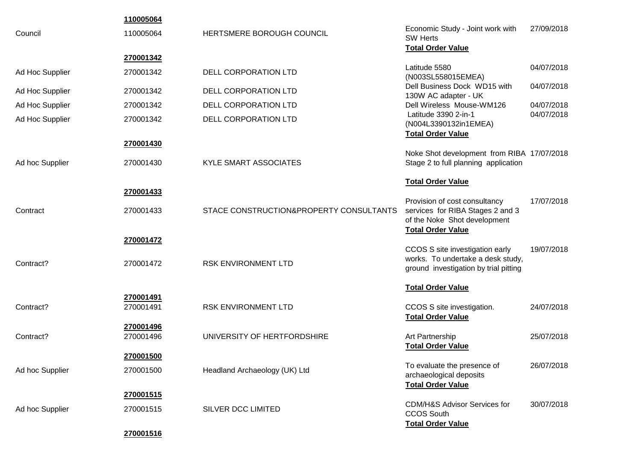|                 | 110005064              |                                         |                                                                                                                               |            |
|-----------------|------------------------|-----------------------------------------|-------------------------------------------------------------------------------------------------------------------------------|------------|
| Council         | 110005064              | HERTSMERE BOROUGH COUNCIL               | Economic Study - Joint work with<br><b>SW Herts</b><br><b>Total Order Value</b>                                               | 27/09/2018 |
|                 | 270001342              |                                         |                                                                                                                               |            |
| Ad Hoc Supplier | 270001342              | <b>DELL CORPORATION LTD</b>             | Latitude 5580<br>(N003SL558015EMEA)                                                                                           | 04/07/2018 |
| Ad Hoc Supplier | 270001342              | DELL CORPORATION LTD                    | Dell Business Dock WD15 with<br>130W AC adapter - UK                                                                          | 04/07/2018 |
| Ad Hoc Supplier | 270001342              | DELL CORPORATION LTD                    | Dell Wireless Mouse-WM126                                                                                                     | 04/07/2018 |
| Ad Hoc Supplier | 270001342              | DELL CORPORATION LTD                    | Latitude 3390 2-in-1<br>(N004L3390132in1EMEA)<br><b>Total Order Value</b>                                                     | 04/07/2018 |
|                 | 270001430              |                                         |                                                                                                                               |            |
| Ad hoc Supplier | 270001430              | <b>KYLE SMART ASSOCIATES</b>            | Noke Shot development from RIBA 17/07/2018<br>Stage 2 to full planning application                                            |            |
|                 |                        |                                         | <b>Total Order Value</b>                                                                                                      |            |
|                 | 270001433              |                                         |                                                                                                                               |            |
| Contract        | 270001433              | STACE CONSTRUCTION&PROPERTY CONSULTANTS | Provision of cost consultancy<br>services for RIBA Stages 2 and 3<br>of the Noke Shot development<br><b>Total Order Value</b> | 17/07/2018 |
|                 | 270001472              |                                         |                                                                                                                               |            |
| Contract?       | 270001472              | RSK ENVIRONMENT LTD                     | CCOS S site investigation early<br>works. To undertake a desk study,<br>ground investigation by trial pitting                 | 19/07/2018 |
|                 |                        |                                         | <b>Total Order Value</b>                                                                                                      |            |
| Contract?       | 270001491<br>270001491 | RSK ENVIRONMENT LTD                     | CCOS S site investigation.<br><b>Total Order Value</b>                                                                        | 24/07/2018 |
| Contract?       | 270001496<br>270001496 | UNIVERSITY OF HERTFORDSHIRE             | Art Partnership<br><b>Total Order Value</b>                                                                                   | 25/07/2018 |
|                 | 270001500              |                                         |                                                                                                                               |            |
| Ad hoc Supplier | 270001500              | Headland Archaeology (UK) Ltd           | To evaluate the presence of<br>archaeological deposits<br><b>Total Order Value</b>                                            | 26/07/2018 |
|                 | 270001515              |                                         |                                                                                                                               |            |
| Ad hoc Supplier | 270001515              | SILVER DCC LIMITED                      | <b>CDM/H&amp;S Advisor Services for</b><br><b>CCOS South</b><br><b>Total Order Value</b>                                      | 30/07/2018 |
|                 | 270001516              |                                         |                                                                                                                               |            |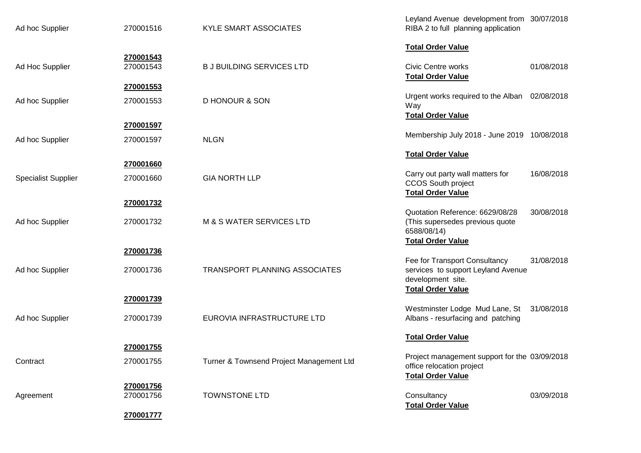| Ad hoc Supplier            | 270001516              | KYLE SMART ASSOCIATES                    | Leyland Avenue development from 30/07/2018<br>RIBA 2 to full planning application                                    |            |
|----------------------------|------------------------|------------------------------------------|----------------------------------------------------------------------------------------------------------------------|------------|
|                            |                        |                                          | <b>Total Order Value</b>                                                                                             |            |
| Ad Hoc Supplier            | 270001543<br>270001543 | <b>B J BUILDING SERVICES LTD</b>         | <b>Civic Centre works</b><br><b>Total Order Value</b>                                                                | 01/08/2018 |
|                            | 270001553              |                                          |                                                                                                                      |            |
| Ad hoc Supplier            | 270001553              | <b>D HONOUR &amp; SON</b>                | Urgent works required to the Alban 02/08/2018<br>Way<br><b>Total Order Value</b>                                     |            |
|                            | 270001597              |                                          |                                                                                                                      |            |
| Ad hoc Supplier            | 270001597              | <b>NLGN</b>                              | Membership July 2018 - June 2019 10/08/2018                                                                          |            |
|                            | 270001660              |                                          | <b>Total Order Value</b>                                                                                             |            |
| <b>Specialist Supplier</b> | 270001660              | <b>GIA NORTH LLP</b>                     | Carry out party wall matters for                                                                                     | 16/08/2018 |
|                            |                        |                                          | CCOS South project<br><b>Total Order Value</b>                                                                       |            |
|                            | 270001732              |                                          |                                                                                                                      |            |
| Ad hoc Supplier            | 270001732              | <b>M &amp; S WATER SERVICES LTD</b>      | Quotation Reference: 6629/08/28<br>(This supersedes previous quote<br>6588/08/14)                                    | 30/08/2018 |
|                            | 270001736              |                                          | <b>Total Order Value</b>                                                                                             |            |
| Ad hoc Supplier            | 270001736              | TRANSPORT PLANNING ASSOCIATES            | Fee for Transport Consultancy<br>services to support Leyland Avenue<br>development site.<br><b>Total Order Value</b> | 31/08/2018 |
|                            | 270001739              |                                          |                                                                                                                      |            |
| Ad hoc Supplier            | 270001739              | EUROVIA INFRASTRUCTURE LTD               | Westminster Lodge Mud Lane, St<br>Albans - resurfacing and patching                                                  | 31/08/2018 |
|                            |                        |                                          | <b>Total Order Value</b>                                                                                             |            |
|                            | 270001755              |                                          | Project management support for the 03/09/2018                                                                        |            |
| Contract                   | 270001755              | Turner & Townsend Project Management Ltd | office relocation project<br><b>Total Order Value</b>                                                                |            |
|                            | 270001756              |                                          |                                                                                                                      |            |
| Agreement                  | 270001756              | <b>TOWNSTONE LTD</b>                     | Consultancy<br><b>Total Order Value</b>                                                                              | 03/09/2018 |
|                            | 270001777              |                                          |                                                                                                                      |            |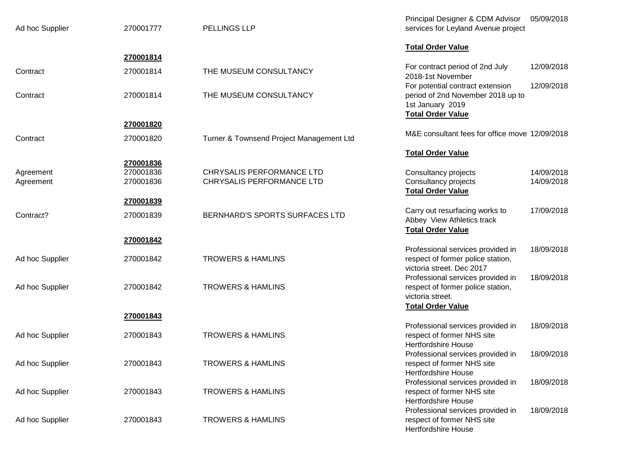| Ad hoc Supplier        | 270001777                           | PELLINGS LLP                                           | Principal Designer & CDM Advisor 05/09/2018<br>services for Leyland Avenue project                                                        |
|------------------------|-------------------------------------|--------------------------------------------------------|-------------------------------------------------------------------------------------------------------------------------------------------|
|                        |                                     |                                                        | <b>Total Order Value</b>                                                                                                                  |
| Contract               | 270001814<br>270001814              | THE MUSEUM CONSULTANCY                                 | 12/09/2018<br>For contract period of 2nd July<br>2018-1st November                                                                        |
| Contract               | 270001814                           | THE MUSEUM CONSULTANCY                                 | 12/09/2018<br>For potential contract extension<br>period of 2nd November 2018 up to<br>1st January 2019<br><b>Total Order Value</b>       |
|                        | 270001820                           |                                                        |                                                                                                                                           |
| Contract               | 270001820                           | Turner & Townsend Project Management Ltd               | M&E consultant fees for office move 12/09/2018                                                                                            |
|                        |                                     |                                                        | <b>Total Order Value</b>                                                                                                                  |
| Agreement<br>Agreement | 270001836<br>270001836<br>270001836 | CHRYSALIS PERFORMANCE LTD<br>CHRYSALIS PERFORMANCE LTD | Consultancy projects<br>14/09/2018<br>14/09/2018<br>Consultancy projects<br><b>Total Order Value</b>                                      |
| Contract?              | 270001839<br>270001839              | BERNHARD'S SPORTS SURFACES LTD                         | 17/09/2018<br>Carry out resurfacing works to<br>Abbey View Athletics track<br><b>Total Order Value</b>                                    |
|                        | 270001842                           |                                                        |                                                                                                                                           |
| Ad hoc Supplier        | 270001842                           | <b>TROWERS &amp; HAMLINS</b>                           | Professional services provided in<br>18/09/2018<br>respect of former police station,<br>victoria street. Dec 2017                         |
| Ad hoc Supplier        | 270001842                           | <b>TROWERS &amp; HAMLINS</b>                           | 18/09/2018<br>Professional services provided in<br>respect of former police station,<br>victoria street.                                  |
|                        | 270001843                           |                                                        | <b>Total Order Value</b>                                                                                                                  |
| Ad hoc Supplier        | 270001843                           | <b>TROWERS &amp; HAMLINS</b>                           | Professional services provided in<br>18/09/2018<br>respect of former NHS site                                                             |
| Ad hoc Supplier        | 270001843                           | <b>TROWERS &amp; HAMLINS</b>                           | <b>Hertfordshire House</b><br>Professional services provided in<br>18/09/2018<br>respect of former NHS site<br><b>Hertfordshire House</b> |
| Ad hoc Supplier        | 270001843                           | <b>TROWERS &amp; HAMLINS</b>                           | Professional services provided in<br>18/09/2018<br>respect of former NHS site<br><b>Hertfordshire House</b>                               |
| Ad hoc Supplier        | 270001843                           | <b>TROWERS &amp; HAMLINS</b>                           | Professional services provided in<br>18/09/2018<br>respect of former NHS site<br><b>Hertfordshire House</b>                               |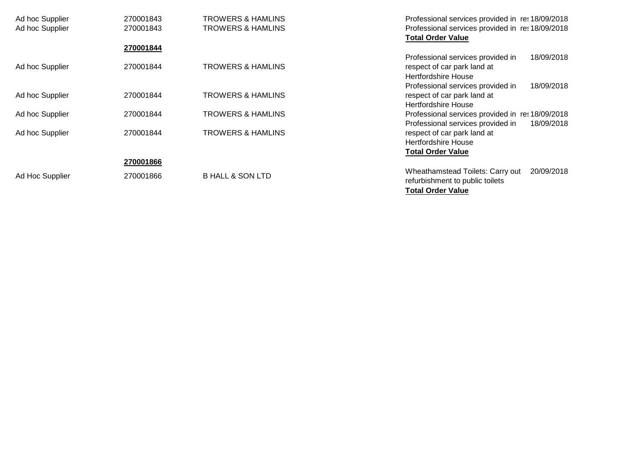| Ad hoc Supplier | 270001843 | <b>TROWERS &amp; HAMLINS</b> | Professional services provided in ret 18/09/2018 |
|-----------------|-----------|------------------------------|--------------------------------------------------|
| Ad hoc Supplier | 270001843 | <b>TROWERS &amp; HAMLINS</b> | Professional services provided in ret 18/09/2018 |
|                 |           |                              | <b>Total Order Value</b>                         |
|                 | 270001844 |                              |                                                  |
|                 |           |                              | Professional services provided in<br>18/09/2018  |
| Ad hoc Supplier | 270001844 | TROWERS & HAMLINS            | respect of car park land at                      |
|                 |           |                              | Hertfordshire House                              |
|                 |           |                              | Professional services provided in<br>18/09/2018  |
| Ad hoc Supplier | 270001844 | <b>TROWERS &amp; HAMLINS</b> | respect of car park land at                      |
|                 |           |                              | Hertfordshire House                              |
| Ad hoc Supplier | 270001844 | <b>TROWERS &amp; HAMLINS</b> | Professional services provided in ret 18/09/2018 |
|                 |           |                              | Professional services provided in<br>18/09/2018  |
| Ad hoc Supplier | 270001844 | <b>TROWERS &amp; HAMLINS</b> | respect of car park land at                      |
|                 |           |                              | Hertfordshire House                              |
|                 |           |                              | <b>Total Order Value</b>                         |
|                 | 270001866 |                              |                                                  |
|                 |           |                              | Wheathamstead Toilets: Carry out<br>20/09/2018   |
| Ad Hoc Supplier | 270001866 | <b>B HALL &amp; SON LTD</b>  | refurbishment to public toilets                  |
|                 |           |                              | <b>Total Order Value</b>                         |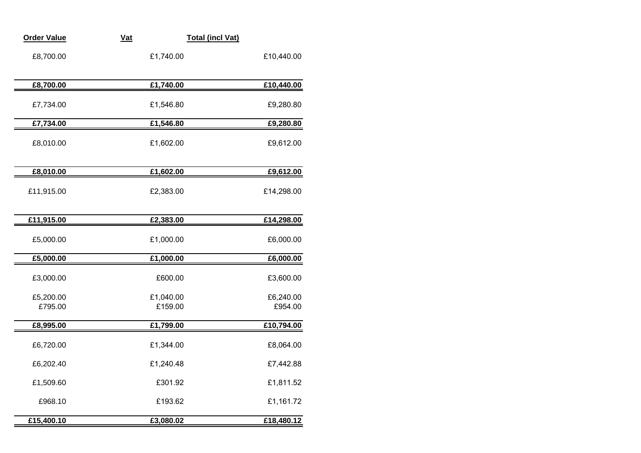| <b>Order Value</b>   | $vat$                | <b>Total (incl Vat)</b> |
|----------------------|----------------------|-------------------------|
| £8,700.00            | £1,740.00            | £10,440.00              |
| £8,700.00            | £1,740.00            | £10,440.00              |
| £7,734.00            | £1,546.80            | £9,280.80               |
| £7,734.00            | £1,546.80            | £9,280.80               |
| £8,010.00            | £1,602.00            | £9,612.00               |
| £8,010.00            | £1,602.00            | £9,612.00               |
| £11,915.00           | £2,383.00            | £14,298.00              |
| £11,915.00           | £2,383.00            | £14,298.00              |
| £5,000.00            | £1,000.00            | £6,000.00               |
| £5,000.00            | £1,000.00            | £6,000.00               |
| £3,000.00            | £600.00              | £3,600.00               |
| £5,200.00<br>£795.00 | £1,040.00<br>£159.00 | £6,240.00<br>£954.00    |
| £8,995.00            | £1,799.00            | £10,794.00              |
| £6,720.00            | £1,344.00            | £8,064.00               |
| £6,202.40            | £1,240.48            | £7,442.88               |
| £1,509.60            | £301.92              | £1,811.52               |
| £968.10              | £193.62              | £1,161.72               |
| £15,400.10           | £3,080.02            | £18,480.12              |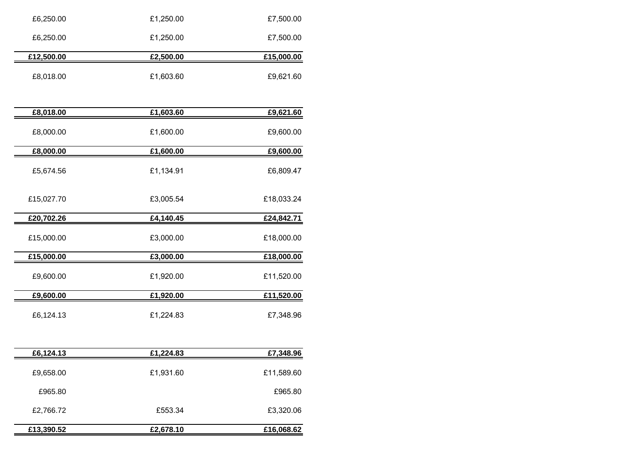| £6,250.00  | £1,250.00 | £7,500.00  |
|------------|-----------|------------|
| £6,250.00  | £1,250.00 | £7,500.00  |
| £12,500.00 | £2,500.00 | £15,000.00 |
| £8,018.00  | £1,603.60 | £9,621.60  |
| £8,018.00  | £1,603.60 | £9,621.60  |
| £8,000.00  | £1,600.00 | £9,600.00  |
| £8,000.00  | £1,600.00 | £9,600.00  |
| £5,674.56  | £1,134.91 | £6,809.47  |
| £15,027.70 | £3,005.54 | £18,033.24 |
| £20,702.26 | £4,140.45 | £24,842.71 |
| £15,000.00 | £3,000.00 | £18,000.00 |
| £15,000.00 | £3,000.00 | £18,000.00 |
| £9,600.00  | £1,920.00 | £11,520.00 |
| £9,600.00  | £1,920.00 | £11,520.00 |
|            |           |            |
| £6,124.13  | £1,224.83 | £7,348.96  |
| £6,124.13  | £1,224.83 | £7,348.96  |
| £9,658.00  | £1,931.60 | £11,589.60 |
| £965.80    |           | £965.80    |

**£13,390.52 £2,678.10 £16,068.62**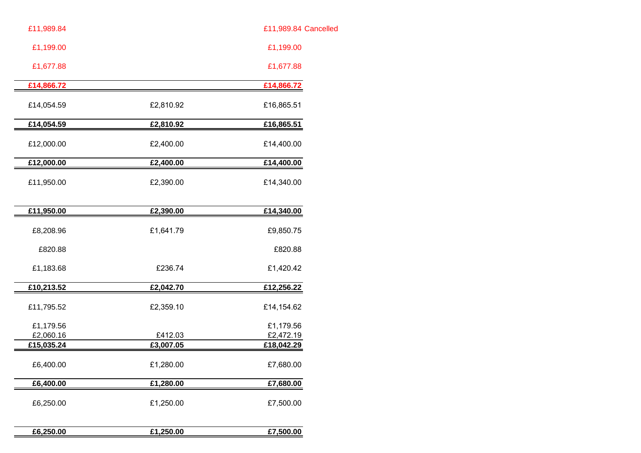| £11,989.84 Cancelled   |           | £11,989.84             |
|------------------------|-----------|------------------------|
| £1,199.00              |           | £1,199.00              |
| £1,677.88              |           | £1,677.88              |
| £14,866.72             |           | £14,866.72             |
| £16,865.51             | £2,810.92 | £14,054.59             |
| £16,865.51             | £2,810.92 | £14,054.59             |
| £14,400.00             | £2,400.00 | £12,000.00             |
| £14,400.00             | £2,400.00 | £12,000.00             |
| £14,340.00             | £2,390.00 | £11,950.00             |
| £14,340.00             | £2,390.00 | £11,950.00             |
| £9,850.75              | £1,641.79 | £8,208.96              |
| £820.88                |           | £820.88                |
| £1,420.42              | £236.74   | £1,183.68              |
| £12,256.22             | £2,042.70 | £10,213.52             |
| £14,154.62             | £2,359.10 | £11,795.52             |
| £1,179.56<br>£2,472.19 | £412.03   | £1,179.56<br>£2,060.16 |
| £18,042.29             | £3,007.05 | £15,035.24             |
| £7,680.00              | £1,280.00 | £6,400.00              |
| £7,680.00              | £1,280.00 | £6,400.00              |
| £7,500.00              | £1,250.00 | £6,250.00              |
|                        |           |                        |

| £6,250.00 | 1.250.00<br>€1. | £7.500.00 |
|-----------|-----------------|-----------|
|           |                 |           |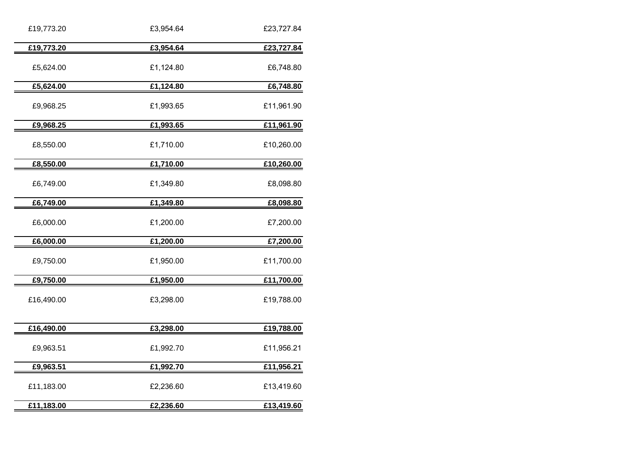| £19,773.20 | £3,954.64 | £23,727.84 |
|------------|-----------|------------|
| £19,773.20 | £3,954.64 | £23,727.84 |
| £5,624.00  | £1,124.80 | £6,748.80  |
| £5,624.00  | £1,124.80 | £6,748.80  |
| £9,968.25  | £1,993.65 | £11,961.90 |
| £9,968.25  | £1,993.65 | £11,961.90 |
| £8,550.00  | £1,710.00 | £10,260.00 |
| £8,550.00  | £1,710.00 | £10,260.00 |
| £6,749.00  | £1,349.80 | £8,098.80  |
| £6,749.00  | £1,349.80 | £8,098.80  |
| £6,000.00  | £1,200.00 | £7,200.00  |
| £6,000.00  | £1,200.00 | £7,200.00  |
| £9,750.00  | £1,950.00 | £11,700.00 |
| £9,750.00  | £1,950.00 | £11,700.00 |
| £16,490.00 | £3,298.00 | £19,788.00 |
| £16,490.00 | £3,298.00 | £19,788.00 |
| £9,963.51  | £1,992.70 | £11,956.21 |
| £9,963.51  | £1,992.70 | £11,956.21 |
| £11,183.00 | £2,236.60 | £13,419.60 |
| £11,183.00 | £2,236.60 | £13,419.60 |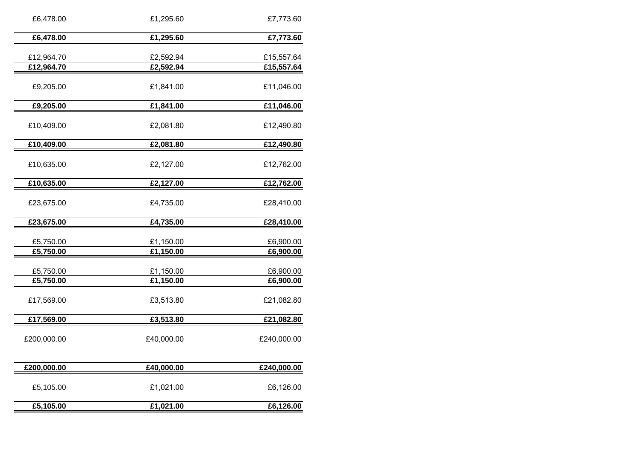| £6,478.00   | £1,295.60  | £7,773.60   |
|-------------|------------|-------------|
| £6,478.00   | £1,295.60  | £7,773.60   |
| £12,964.70  | £2,592.94  | £15,557.64  |
| £12,964.70  | £2,592.94  | £15,557.64  |
| £9,205.00   | £1,841.00  | £11,046.00  |
| £9,205.00   | £1,841.00  | £11,046.00  |
| £10,409.00  | £2,081.80  | £12,490.80  |
| £10,409.00  | £2,081.80  | £12,490.80  |
| £10,635.00  | £2,127.00  | £12,762.00  |
| £10,635.00  | £2,127.00  | £12,762.00  |
| £23,675.00  | £4,735.00  | £28,410.00  |
| £23,675.00  | £4,735.00  | £28,410.00  |
| £5,750.00   | £1,150.00  | £6,900.00   |
| £5,750.00   | £1,150.00  | £6,900.00   |
| £5,750.00   | £1,150.00  | £6,900.00   |
| £5,750.00   | £1,150.00  | £6,900.00   |
| £17,569.00  | £3,513.80  | £21,082.80  |
| £17,569.00  | £3,513.80  | £21,082.80  |
| £200,000.00 | £40,000.00 | £240,000.00 |
| £200,000.00 | £40,000.00 | £240,000.00 |
| £5,105.00   | £1,021.00  | £6,126.00   |
| £5,105.00   | £1,021.00  | £6,126.00   |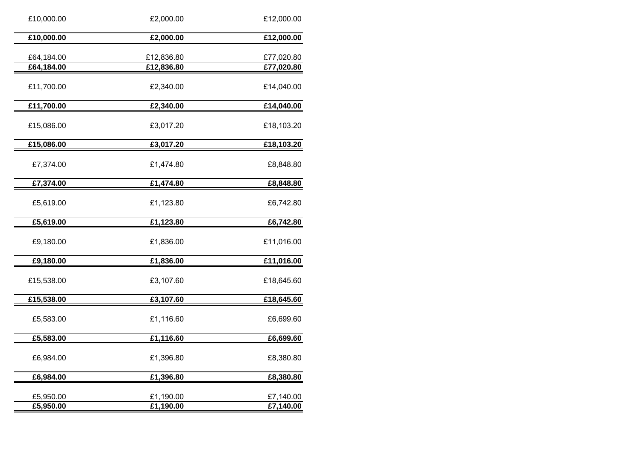| £10,000.00<br>£2,000.00<br>£64,184.00<br>£12,836.80<br>£64,184.00<br>£12,836.80<br>£11,700.00<br>£2,340.00 | £12,000.00<br>£77,020.80<br>£77,020.80<br>£14,040.00 |
|------------------------------------------------------------------------------------------------------------|------------------------------------------------------|
|                                                                                                            |                                                      |
|                                                                                                            |                                                      |
|                                                                                                            |                                                      |
| £11,700.00<br>£2,340.00                                                                                    | £14,040.00                                           |
| £15,086.00<br>£3,017.20                                                                                    | £18,103.20                                           |
| £15,086.00<br>£3,017.20                                                                                    | £18,103.20                                           |
| £7,374.00<br>£1,474.80                                                                                     | £8,848.80                                            |
| £7,374.00<br>£1,474.80                                                                                     | £8,848.80                                            |
| £5,619.00<br>£1,123.80                                                                                     | £6,742.80                                            |
| £5,619.00<br>£1,123.80                                                                                     | £6,742.80                                            |
| £9,180.00<br>£1,836.00                                                                                     | £11,016.00                                           |
| £1,836.00<br>£9,180.00                                                                                     | £11,016.00                                           |
| £3,107.60<br>£15,538.00                                                                                    | £18,645.60                                           |
| £15,538.00<br>£3,107.60                                                                                    | £18,645.60                                           |
| £1,116.60<br>£5,583.00                                                                                     | £6,699.60                                            |
| £5,583.00<br>£1,116.60                                                                                     | £6,699.60                                            |
| £1,396.80<br>£6,984.00                                                                                     | £8,380.80                                            |
| £6,984.00<br>£1,396.80                                                                                     | £8,380.80                                            |
| £5,950.00<br>£1,190.00<br>£5,950.00<br>£1,190.00                                                           | £7,140.00<br>£7,140.00                               |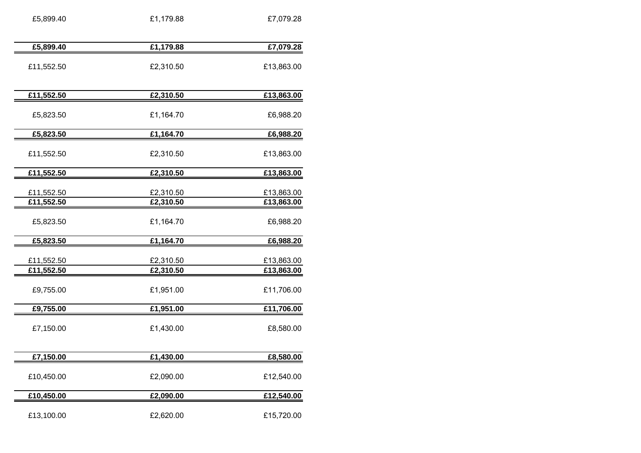| £5,899.40                | £1,179.88              | £7,079.28                |
|--------------------------|------------------------|--------------------------|
|                          |                        |                          |
| £5,899.40                | £1,179.88              | £7,079.28                |
| £11,552.50               | £2,310.50              | £13,863.00               |
| £11,552.50               | £2,310.50              | £13,863.00               |
| £5,823.50                | £1,164.70              | £6,988.20                |
| £5,823.50                | £1,164.70              | £6,988.20                |
| £11,552.50               | £2,310.50              | £13,863.00               |
| £11,552.50               | £2,310.50              | £13,863.00               |
| £11,552.50               | £2,310.50              | £13,863.00               |
| £11,552.50               | £2,310.50              | £13,863.00               |
| £5,823.50                | £1,164.70              | £6,988.20                |
| £5,823.50                | £1,164.70              | £6,988.20                |
| £11,552.50<br>£11,552.50 | £2,310.50<br>£2,310.50 | £13,863.00<br>£13,863.00 |
| £9,755.00                | £1,951.00              | £11,706.00               |
| £9,755.00                | £1,951.00              | £11,706.00               |
| £7,150.00                | £1,430.00              | £8,580.00                |
| £7,150.00                | £1,430.00              | £8,580.00                |
| £10,450.00               | £2,090.00              | £12,540.00               |
| £10,450.00               | £2,090.00              | £12,540.00               |
| £13,100.00               | £2,620.00              | £15,720.00               |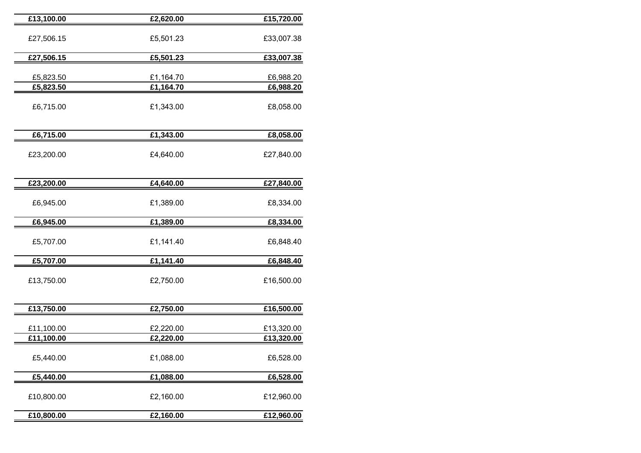| £13,100.00               | £2,620.00              | £15,720.00               |
|--------------------------|------------------------|--------------------------|
| £27,506.15               | £5,501.23              | £33,007.38               |
| £27,506.15               | £5,501.23              | £33,007.38               |
| £5,823.50<br>£5,823.50   | £1,164.70<br>£1,164.70 | £6,988.20<br>£6,988.20   |
| £6,715.00                | £1,343.00              | £8,058.00                |
| £6,715.00                | £1,343.00              | £8,058.00                |
| £23,200.00               | £4,640.00              | £27,840.00               |
| £23,200.00               | £4,640.00              | £27,840.00               |
| £6,945.00                | £1,389.00              | £8,334.00                |
| £6,945.00                | £1,389.00              | £8,334.00                |
| £5,707.00                | £1,141.40              | £6,848.40                |
| £5,707.00                | £1,141.40              | £6,848.40                |
| £13,750.00               | £2,750.00              | £16,500.00               |
| £13,750.00               | £2,750.00              | £16,500.00               |
| £11,100.00<br>£11,100.00 | £2,220.00<br>£2,220.00 | £13,320.00<br>£13,320.00 |
| £5,440.00                | £1,088.00              | £6,528.00                |
| £5,440.00                | £1,088.00              | £6,528.00                |
| £10,800.00               | £2,160.00              | £12,960.00               |
| £10,800.00               | £2,160.00              | £12,960.00               |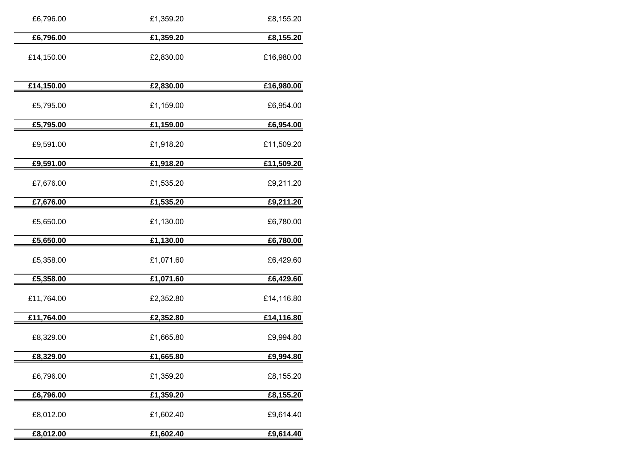| £6,796.00  | £1,359.20 | £8,155.20  |
|------------|-----------|------------|
| £6,796.00  | £1,359.20 | £8,155.20  |
| £14,150.00 | £2,830.00 | £16,980.00 |
| £14,150.00 | £2,830.00 | £16,980.00 |
| £5,795.00  | £1,159.00 | £6,954.00  |
| £5,795.00  | £1,159.00 | £6,954.00  |
| £9,591.00  | £1,918.20 | £11,509.20 |
| £9,591.00  | £1,918.20 | £11,509.20 |
| £7,676.00  | £1,535.20 | £9,211.20  |
| £7,676.00  | £1,535.20 | £9,211.20  |
| £5,650.00  | £1,130.00 | £6,780.00  |
| £5,650.00  | £1,130.00 | £6,780.00  |
| £5,358.00  | £1,071.60 | £6,429.60  |
| £5,358.00  | £1,071.60 | £6,429.60  |
| £11,764.00 | £2,352.80 | £14,116.80 |
| £11,764.00 | £2,352.80 | £14,116.80 |
| £8,329.00  | £1,665.80 | £9,994.80  |
| £8,329.00  | £1,665.80 | £9,994.80  |
| £6,796.00  | £1,359.20 | £8,155.20  |
| £6,796.00  | £1,359.20 | £8,155.20  |
| £8,012.00  | £1,602.40 | £9,614.40  |
| £8,012.00  | £1,602.40 | £9,614.40  |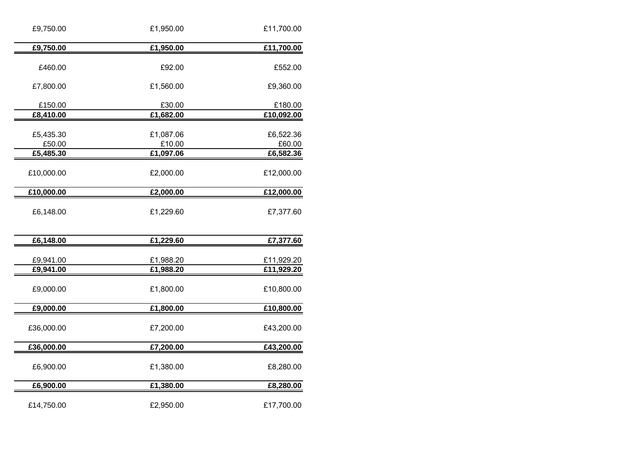| £9,750.00            | £1,950.00           | £11,700.00            |
|----------------------|---------------------|-----------------------|
| £9,750.00            | £1,950.00           | £11,700.00            |
| £460.00              | £92.00              | £552.00               |
| £7,800.00            | £1,560.00           | £9,360.00             |
| £150.00<br>£8,410.00 | £30.00<br>£1,682.00 | £180.00<br>£10,092.00 |
|                      |                     |                       |
| £5,435.30            | £1,087.06           | £6,522.36             |
| £50.00               | £10.00              | £60.00                |
| £5,485.30            | £1,097.06           | £6,582.36             |
| £10,000.00           | £2,000.00           | £12,000.00            |
| £10,000.00           | £2,000.00           | £12,000.00            |
| £6,148.00            | £1,229.60           | £7,377.60             |
| £6,148.00            | £1,229.60           | £7,377.60             |
|                      |                     |                       |
| £9,941.00            | £1,988.20           | £11,929.20            |
| £9,941.00            | £1,988.20           | £11,929.20            |
| £9,000.00            | £1,800.00           | £10,800.00            |
| £9,000.00            | £1,800.00           | £10,800.00            |
| £36,000.00           | £7,200.00           | £43,200.00            |
| £36,000.00           | £7,200.00           | £43,200.00            |
| £6,900.00            | £1,380.00           | £8,280.00             |
| £6,900.00            | £1,380.00           | £8,280.00             |
| £14,750.00           | £2,950.00           | £17,700.00            |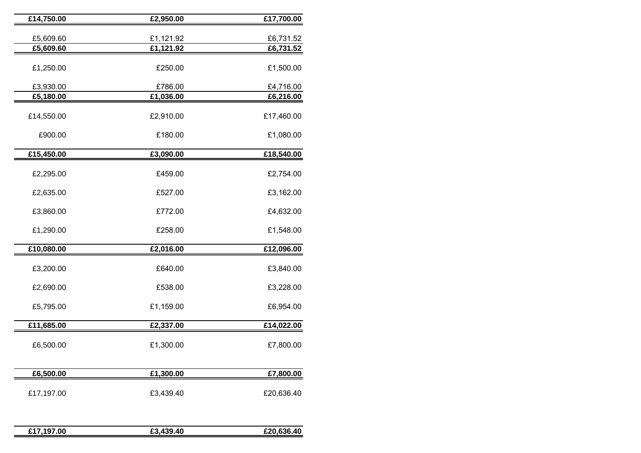| £14,750.00 | £2,950.00                           | £17,700.00 |
|------------|-------------------------------------|------------|
|            |                                     |            |
| £5,609.60  | £1,121.92<br>$\overline{£}1,121.92$ | £6,731.52  |
| £5,609.60  |                                     | £6,731.52  |
| £1,250.00  | £250.00                             | £1,500.00  |
| £3,930.00  | £786.00                             | £4,716.00  |
| £5,180.00  | £1,036.00                           | £6,216.00  |
|            |                                     |            |
| £14,550.00 | £2,910.00                           | £17,460.00 |
|            |                                     |            |
| £900.00    | £180.00                             | £1,080.00  |
| £15,450.00 | £3,090.00                           | £18,540.00 |
|            |                                     |            |
| £2,295.00  | £459.00                             | £2,754.00  |
| £2,635.00  | £527.00                             | £3,162.00  |
| £3,860.00  | £772.00                             | £4,632.00  |
| £1,290.00  | £258.00                             | £1,548.00  |
| £10,080.00 | £2,016.00                           | £12,096.00 |
|            |                                     |            |
| £3,200.00  | £640.00                             | £3,840.00  |
| £2,690.00  | £538.00                             | £3,228.00  |
| £5,795.00  | £1,159.00                           | £6,954.00  |
| £11,685.00 | £2,337.00                           | £14,022.00 |
|            |                                     |            |
| £6,500.00  | £1,300.00                           | £7,800.00  |
|            |                                     |            |
| £6,500.00  | £1,300.00                           | £7,800.00  |
| £17,197.00 | £3,439.40                           | £20,636.40 |
|            |                                     |            |

| 00<br>$0.4 -$<br>- | 40<br>. . | Δſ |
|--------------------|-----------|----|
|                    |           |    |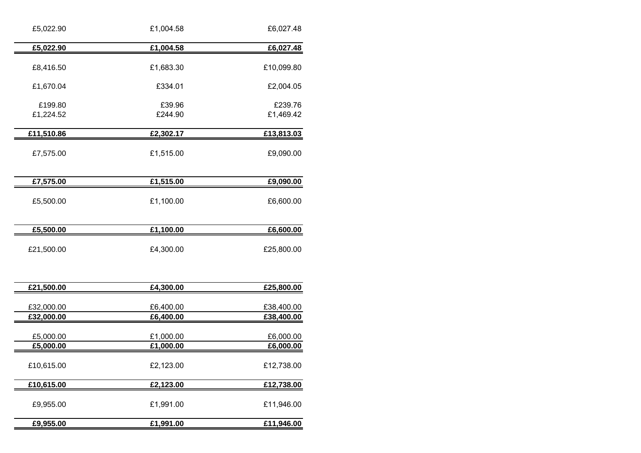| £5,022.90              | £1,004.58              | £6,027.48              |
|------------------------|------------------------|------------------------|
| £5,022.90              | £1,004.58              | £6,027.48              |
| £8,416.50              | £1,683.30              | £10,099.80             |
| £1,670.04              | £334.01                | £2,004.05              |
| £199.80<br>£1,224.52   | £39.96<br>£244.90      | £239.76<br>£1,469.42   |
| £11,510.86             | £2,302.17              | £13,813.03             |
| £7,575.00              | £1,515.00              | £9,090.00              |
| £7,575.00              | £1,515.00              | £9,090.00              |
| £5,500.00              | £1,100.00              | £6,600.00              |
| £5,500.00              | £1,100.00              | £6,600.00              |
| £21,500.00             | £4,300.00              | £25,800.00             |
| £21,500.00             | £4,300.00              | £25,800.00             |
| £32,000.00             | £6,400.00              | £38,400.00             |
| £32,000.00             | £6,400.00              | £38,400.00             |
| £5,000.00<br>£5,000.00 | £1,000.00<br>£1,000.00 | £6,000.00<br>£6,000.00 |
| £10,615.00             | £2,123.00              | £12,738.00             |
| £10,615.00             | £2,123.00              | £12,738.00             |

£9,955.00

**£9,955.00 £1,991.00 £11,946.00**

| --------- | ---------- |
|-----------|------------|
| £1,991.00 | £11,946.00 |
| £1,991.00 | £11,946.00 |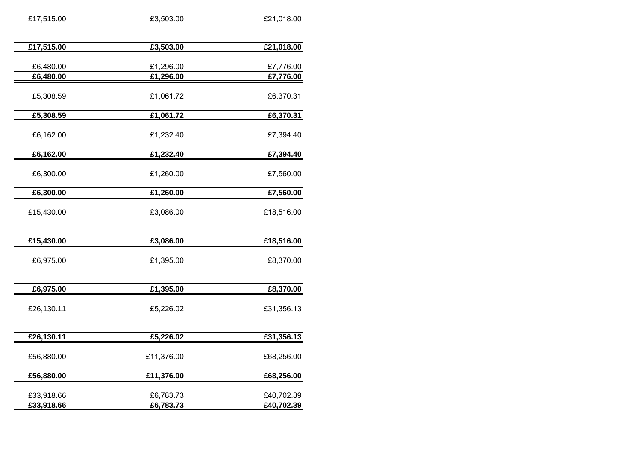| £17,515.00               | £3,503.00              | £21,018.00               |
|--------------------------|------------------------|--------------------------|
| £17,515.00               | £3,503.00              | £21,018.00               |
|                          |                        |                          |
| £6,480.00                | £1,296.00              | £7,776.00                |
| £6,480.00                | $\overline{£1,296.00}$ | £7,776.00                |
| £5,308.59                | £1,061.72              | £6,370.31                |
| £5,308.59                | £1,061.72              | £6,370.31                |
| £6,162.00                | £1,232.40              | £7,394.40                |
| £6,162.00                | £1,232.40              | £7,394.40                |
| £6,300.00                | £1,260.00              | £7,560.00                |
| £6,300.00                | £1,260.00              | £7,560.00                |
| £15,430.00               | £3,086.00              | £18,516.00               |
| £15,430.00               | £3,086.00              | £18,516.00               |
| £6,975.00                | £1,395.00              | £8,370.00                |
| £6,975.00                | £1,395.00              | £8,370.00                |
| £26,130.11               | £5,226.02              | £31,356.13               |
| £26,130.11               | £5,226.02              | £31,356.13               |
| £56,880.00               | £11,376.00             | £68,256.00               |
| £56,880.00               | £11,376.00             | £68,256.00               |
| £33,918.66<br>£33,918.66 | £6,783.73<br>£6,783.73 | £40,702.39<br>£40,702.39 |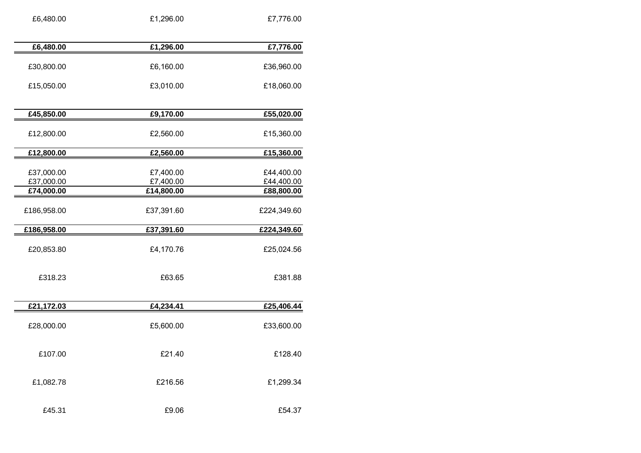| £6,480.00   | £1,296.00  | £7,776.00   |
|-------------|------------|-------------|
| £6,480.00   | £1,296.00  | £7,776.00   |
|             |            |             |
| £30,800.00  | £6,160.00  | £36,960.00  |
| £15,050.00  | £3,010.00  | £18,060.00  |
|             |            |             |
| £45,850.00  | £9,170.00  | £55,020.00  |
|             |            |             |
| £12,800.00  | £2,560.00  | £15,360.00  |
| £12,800.00  | £2,560.00  | £15,360.00  |
|             |            |             |
| £37,000.00  | £7,400.00  | £44,400.00  |
| £37,000.00  | £7,400.00  | £44,400.00  |
| £74,000.00  | £14,800.00 | £88,800.00  |
| £186,958.00 | £37,391.60 | £224,349.60 |
| £186,958.00 | £37,391.60 | £224,349.60 |
|             |            |             |
| £20,853.80  | £4,170.76  | £25,024.56  |
|             |            |             |
| £318.23     | £63.65     | £381.88     |
|             |            |             |
|             |            |             |
| £21,172.03  | £4,234.41  | £25,406.44  |
|             |            |             |
| £28,000.00  | £5,600.00  | £33,600.00  |
|             |            |             |
| £107.00     | £21.40     | £128.40     |
|             |            |             |
| £1,082.78   | £216.56    | £1,299.34   |
|             |            |             |
|             |            |             |
| £45.31      | £9.06      | £54.37      |